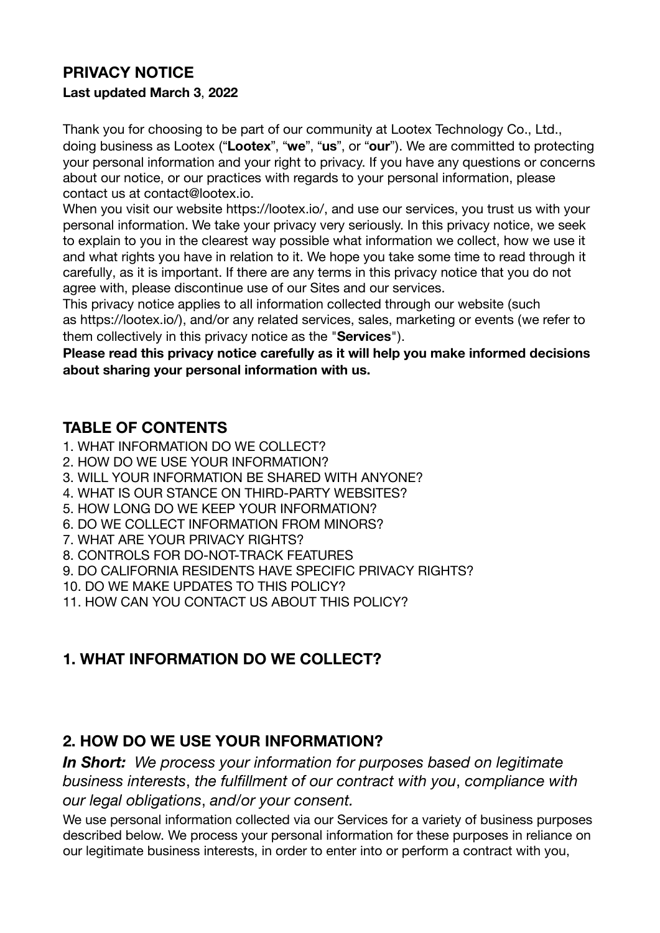# **PRIVACY NOTICE**

#### **Last updated March 3**, **2022**

Thank you for choosing to be part of our community at Lootex Technology Co., Ltd., doing business as Lootex ("**Lootex**", "**we**", "**us**", or "**our**"). We are committed to protecting your personal information and your right to privacy. If you have any questions or concerns about our notice, or our practices with regards to your personal information, please contact us at contact@lootex.io.

When you visit our website https://lootex.io/, and use our services, you trust us with your personal information. We take your privacy very seriously. In this privacy notice, we seek to explain to you in the clearest way possible what information we collect, how we use it and what rights you have in relation to it. We hope you take some time to read through it carefully, as it is important. If there are any terms in this privacy notice that you do not agree with, please discontinue use of our Sites and our services.

This privacy notice applies to all information collected through our website (such as https://lootex.io/), and/or any related services, sales, marketing or events (we refer to them collectively in this privacy notice as the "**Services**").

**Please read this privacy notice carefully as it will help you make informed decisions about sharing your personal information with us.**

#### **TABLE OF CONTENTS**

- 1. WHAT INFORMATION DO WE COLLECT?
- 2. HOW DO WE USE YOUR INFORMATION?
- 3. WILL YOUR INFORMATION BE SHARED WITH ANYONE?
- 4. WHAT IS OUR STANCE ON THIRD-PARTY WEBSITES?
- 5. HOW LONG DO WE KEEP YOUR INFORMATION?
- 6. DO WE COLLECT INFORMATION FROM MINORS?
- 7. WHAT ARE YOUR PRIVACY RIGHTS?
- 8. CONTROLS FOR DO-NOT-TRACK FEATURES
- 9. DO CALIFORNIA RESIDENTS HAVE SPECIFIC PRIVACY RIGHTS?
- 10. DO WE MAKE UPDATES TO THIS POLICY?
- 11. HOW CAN YOU CONTACT US ABOUT THIS POLICY?

#### **1. WHAT INFORMATION DO WE COLLECT?**

#### **2. HOW DO WE USE YOUR INFORMATION?**

*In Short: We process your information for purposes based on legitimate business interests*, *the fulfillment of our contract with you*, *compliance with our legal obligations*, *and/or your consent.*

We use personal information collected via our Services for a variety of business purposes described below. We process your personal information for these purposes in reliance on our legitimate business interests, in order to enter into or perform a contract with you,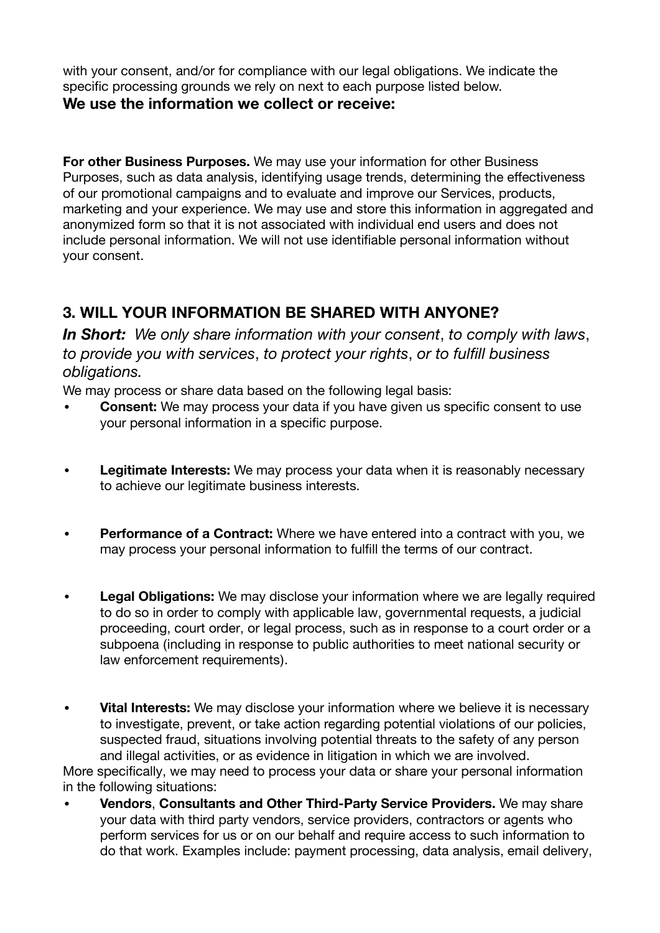with your consent, and/or for compliance with our legal obligations. We indicate the specific processing grounds we rely on next to each purpose listed below.

#### **We use the information we collect or receive:**

**For other Business Purposes.** We may use your information for other Business Purposes, such as data analysis, identifying usage trends, determining the effectiveness of our promotional campaigns and to evaluate and improve our Services, products, marketing and your experience. We may use and store this information in aggregated and anonymized form so that it is not associated with individual end users and does not include personal information. We will not use identifiable personal information without your consent.

## **3. WILL YOUR INFORMATION BE SHARED WITH ANYONE?**

*In Short: We only share information with your consent*, *to comply with laws*, *to provide you with services*, *to protect your rights*, *or to fulfill business obligations.*

We may process or share data based on the following legal basis:

- **Consent:** We may process your data if you have given us specific consent to use your personal information in a specific purpose.
- **Legitimate Interests:** We may process your data when it is reasonably necessary to achieve our legitimate business interests.
- **Performance of a Contract:** Where we have entered into a contract with you, we may process your personal information to fulfill the terms of our contract.
- **Legal Obligations:** We may disclose your information where we are legally required to do so in order to comply with applicable law, governmental requests, a judicial proceeding, court order, or legal process, such as in response to a court order or a subpoena (including in response to public authorities to meet national security or law enforcement requirements).
- **Vital Interests:** We may disclose your information where we believe it is necessary to investigate, prevent, or take action regarding potential violations of our policies, suspected fraud, situations involving potential threats to the safety of any person and illegal activities, or as evidence in litigation in which we are involved.

More specifically, we may need to process your data or share your personal information in the following situations:

• **Vendors**, **Consultants and Other Third-Party Service Providers.** We may share your data with third party vendors, service providers, contractors or agents who perform services for us or on our behalf and require access to such information to do that work. Examples include: payment processing, data analysis, email delivery,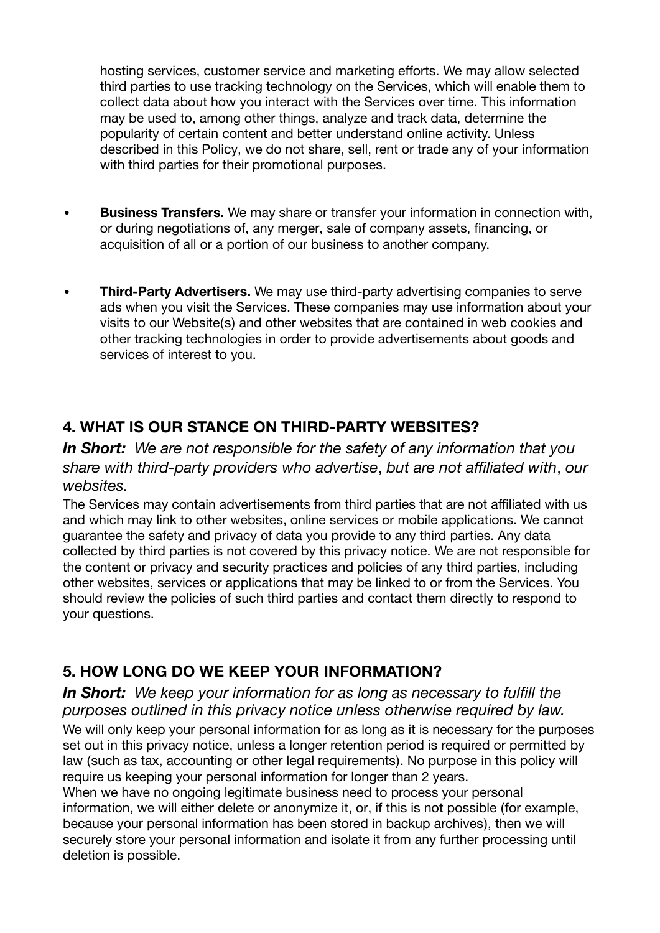hosting services, customer service and marketing efforts. We may allow selected third parties to use tracking technology on the Services, which will enable them to collect data about how you interact with the Services over time. This information may be used to, among other things, analyze and track data, determine the popularity of certain content and better understand online activity. Unless described in this Policy, we do not share, sell, rent or trade any of your information with third parties for their promotional purposes.

- **Business Transfers.** We may share or transfer your information in connection with, or during negotiations of, any merger, sale of company assets, financing, or acquisition of all or a portion of our business to another company.
- **Third-Party Advertisers.** We may use third-party advertising companies to serve ads when you visit the Services. These companies may use information about your visits to our Website(s) and other websites that are contained in web cookies and other tracking technologies in order to provide advertisements about goods and services of interest to you.

### **4. WHAT IS OUR STANCE ON THIRD-PARTY WEBSITES?**

*In Short: We are not responsible for the safety of any information that you share with third-party providers who advertise*, *but are not affiliated with*, *our websites.*

The Services may contain advertisements from third parties that are not affiliated with us and which may link to other websites, online services or mobile applications. We cannot guarantee the safety and privacy of data you provide to any third parties. Any data collected by third parties is not covered by this privacy notice. We are not responsible for the content or privacy and security practices and policies of any third parties, including other websites, services or applications that may be linked to or from the Services. You should review the policies of such third parties and contact them directly to respond to your questions.

### **5. HOW LONG DO WE KEEP YOUR INFORMATION?**

*In Short: We keep your information for as long as necessary to fulfill the purposes outlined in this privacy notice unless otherwise required by law.*

We will only keep your personal information for as long as it is necessary for the purposes set out in this privacy notice, unless a longer retention period is required or permitted by law (such as tax, accounting or other legal requirements). No purpose in this policy will require us keeping your personal information for longer than 2 years.

When we have no ongoing legitimate business need to process your personal information, we will either delete or anonymize it, or, if this is not possible (for example, because your personal information has been stored in backup archives), then we will securely store your personal information and isolate it from any further processing until deletion is possible.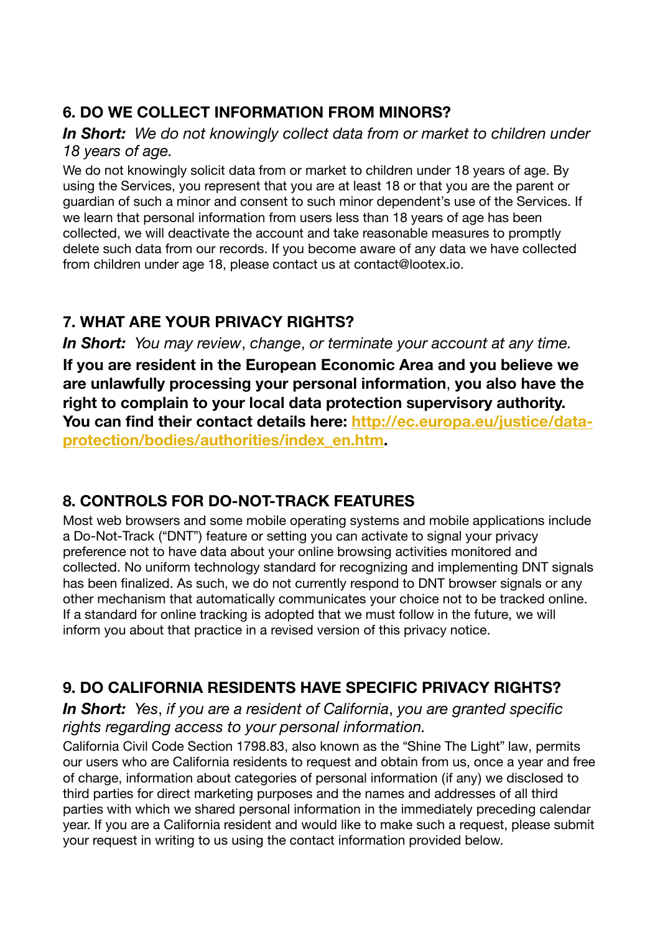# **6. DO WE COLLECT INFORMATION FROM MINORS?**

### *In Short: We do not knowingly collect data from or market to children under 18 years of age.*

We do not knowingly solicit data from or market to children under 18 years of age. By using the Services, you represent that you are at least 18 or that you are the parent or guardian of such a minor and consent to such minor dependent's use of the Services. If we learn that personal information from users less than 18 years of age has been collected, we will deactivate the account and take reasonable measures to promptly delete such data from our records. If you become aware of any data we have collected from children under age 18, please contact us at contact@lootex.io.

# **7. WHAT ARE YOUR PRIVACY RIGHTS?**

*In Short: You may review*, *change*, *or terminate your account at any time.* **If you are resident in the European Economic Area and you believe we are unlawfully processing your personal information**, **you also have the right to complain to your local data protection supervisory authority. You can find their contact details here: [http://ec.europa.eu/justice/data](http://ec.europa.eu/justice/data-protection/bodies/authorities/index_en.htm)[protection/bodies/authorities/index\\_en.htm.](http://ec.europa.eu/justice/data-protection/bodies/authorities/index_en.htm)** 

# **8. CONTROLS FOR DO-NOT-TRACK FEATURES**

Most web browsers and some mobile operating systems and mobile applications include a Do-Not-Track ("DNT") feature or setting you can activate to signal your privacy preference not to have data about your online browsing activities monitored and collected. No uniform technology standard for recognizing and implementing DNT signals has been finalized. As such, we do not currently respond to DNT browser signals or any other mechanism that automatically communicates your choice not to be tracked online. If a standard for online tracking is adopted that we must follow in the future, we will inform you about that practice in a revised version of this privacy notice.

# **9. DO CALIFORNIA RESIDENTS HAVE SPECIFIC PRIVACY RIGHTS?**

*In Short: Yes*, *if you are a resident of California*, *you are granted specific rights regarding access to your personal information.*

California Civil Code Section 1798.83, also known as the "Shine The Light" law, permits our users who are California residents to request and obtain from us, once a year and free of charge, information about categories of personal information (if any) we disclosed to third parties for direct marketing purposes and the names and addresses of all third parties with which we shared personal information in the immediately preceding calendar year. If you are a California resident and would like to make such a request, please submit your request in writing to us using the contact information provided below.